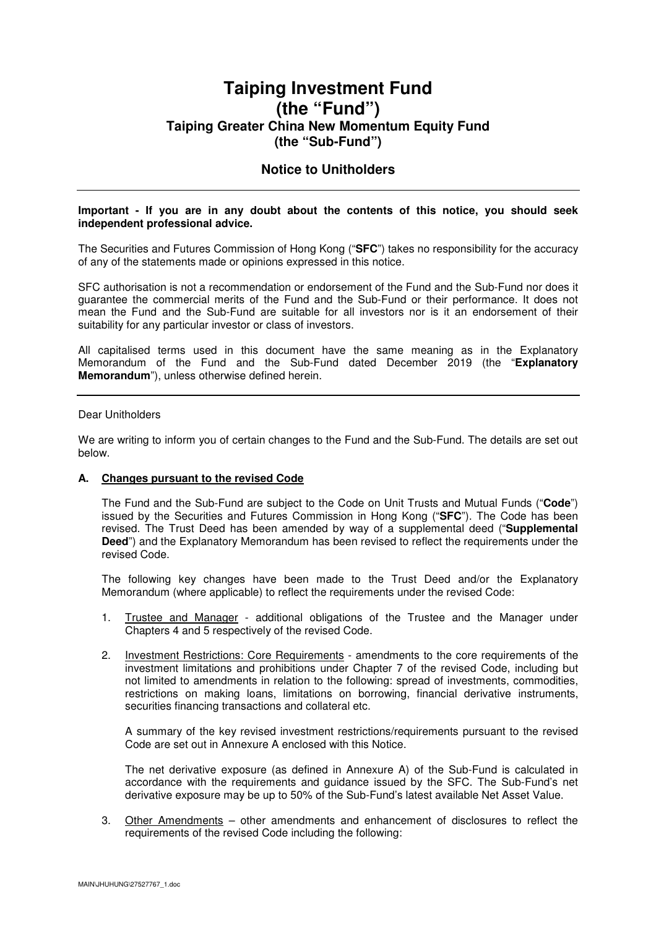# **Taiping Investment Fund (the "Fund") Taiping Greater China New Momentum Equity Fund (the "Sub-Fund")**

## **Notice to Unitholders**

#### **Important - If you are in any doubt about the contents of this notice, you should seek independent professional advice.**

The Securities and Futures Commission of Hong Kong ("**SFC**") takes no responsibility for the accuracy of any of the statements made or opinions expressed in this notice.

SFC authorisation is not a recommendation or endorsement of the Fund and the Sub-Fund nor does it guarantee the commercial merits of the Fund and the Sub-Fund or their performance. It does not mean the Fund and the Sub-Fund are suitable for all investors nor is it an endorsement of their suitability for any particular investor or class of investors.

All capitalised terms used in this document have the same meaning as in the Explanatory Memorandum of the Fund and the Sub-Fund dated December 2019 (the "**Explanatory Memorandum**"), unless otherwise defined herein.

## Dear Unitholders

We are writing to inform you of certain changes to the Fund and the Sub-Fund. The details are set out below.

### **A. Changes pursuant to the revised Code**

The Fund and the Sub-Fund are subject to the Code on Unit Trusts and Mutual Funds ("**Code**") issued by the Securities and Futures Commission in Hong Kong ("**SFC**"). The Code has been revised. The Trust Deed has been amended by way of a supplemental deed ("**Supplemental Deed**") and the Explanatory Memorandum has been revised to reflect the requirements under the revised Code.

The following key changes have been made to the Trust Deed and/or the Explanatory Memorandum (where applicable) to reflect the requirements under the revised Code:

- 1. Trustee and Manager additional obligations of the Trustee and the Manager under Chapters 4 and 5 respectively of the revised Code.
- 2. Investment Restrictions: Core Requirements amendments to the core requirements of the investment limitations and prohibitions under Chapter 7 of the revised Code, including but not limited to amendments in relation to the following: spread of investments, commodities, restrictions on making loans, limitations on borrowing, financial derivative instruments, securities financing transactions and collateral etc.

A summary of the key revised investment restrictions/requirements pursuant to the revised Code are set out in Annexure A enclosed with this Notice.

The net derivative exposure (as defined in Annexure A) of the Sub-Fund is calculated in accordance with the requirements and guidance issued by the SFC. The Sub-Fund's net derivative exposure may be up to 50% of the Sub-Fund's latest available Net Asset Value.

3. Other Amendments – other amendments and enhancement of disclosures to reflect the requirements of the revised Code including the following: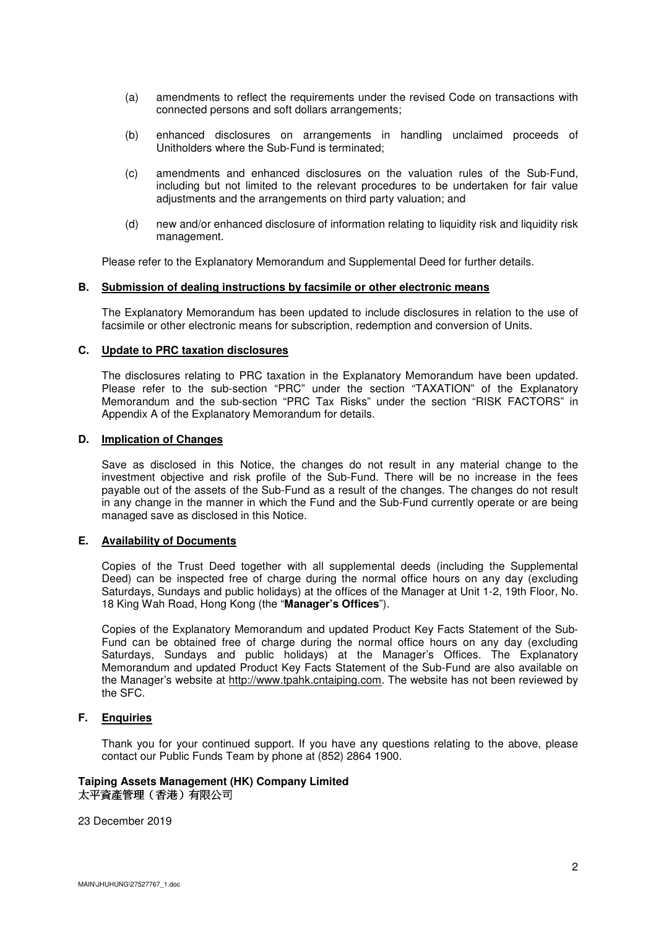- (a) amendments to reflect the requirements under the revised Code on transactions with connected persons and soft dollars arrangements;
- (b) enhanced disclosures on arrangements in handling unclaimed proceeds of Unitholders where the Sub-Fund is terminated;
- (c) amendments and enhanced disclosures on the valuation rules of the Sub-Fund, including but not limited to the relevant procedures to be undertaken for fair value adjustments and the arrangements on third party valuation; and
- (d) new and/or enhanced disclosure of information relating to liquidity risk and liquidity risk management.

Please refer to the Explanatory Memorandum and Supplemental Deed for further details.

## **B. Submission of dealing instructions by facsimile or other electronic means**

The Explanatory Memorandum has been updated to include disclosures in relation to the use of facsimile or other electronic means for subscription, redemption and conversion of Units.

#### **C. Update to PRC taxation disclosures**

The disclosures relating to PRC taxation in the Explanatory Memorandum have been updated. Please refer to the sub-section "PRC" under the section "TAXATION" of the Explanatory Memorandum and the sub-section "PRC Tax Risks" under the section "RISK FACTORS" in Appendix A of the Explanatory Memorandum for details.

## **D. Implication of Changes**

Save as disclosed in this Notice, the changes do not result in any material change to the investment objective and risk profile of the Sub-Fund. There will be no increase in the fees payable out of the assets of the Sub-Fund as a result of the changes. The changes do not result in any change in the manner in which the Fund and the Sub-Fund currently operate or are being managed save as disclosed in this Notice.

### **E. Availability of Documents**

Copies of the Trust Deed together with all supplemental deeds (including the Supplemental Deed) can be inspected free of charge during the normal office hours on any day (excluding Saturdays, Sundays and public holidays) at the offices of the Manager at Unit 1-2, 19th Floor, No. 18 King Wah Road, Hong Kong (the "**Manager's Offices**").

Copies of the Explanatory Memorandum and updated Product Key Facts Statement of the Sub-Fund can be obtained free of charge during the normal office hours on any day (excluding Saturdays, Sundays and public holidays) at the Manager's Offices. The Explanatory Memorandum and updated Product Key Facts Statement of the Sub-Fund are also available on the Manager's website at http://www.tpahk.cntaiping.com. The website has not been reviewed by the SFC.

## **F. Enquiries**

Thank you for your continued support. If you have any questions relating to the above, please contact our Public Funds Team by phone at (852) 2864 1900.

## **Taiping Assets Management (HK) Company Limited**  太平資產管理(香港)有限公司

23 December 2019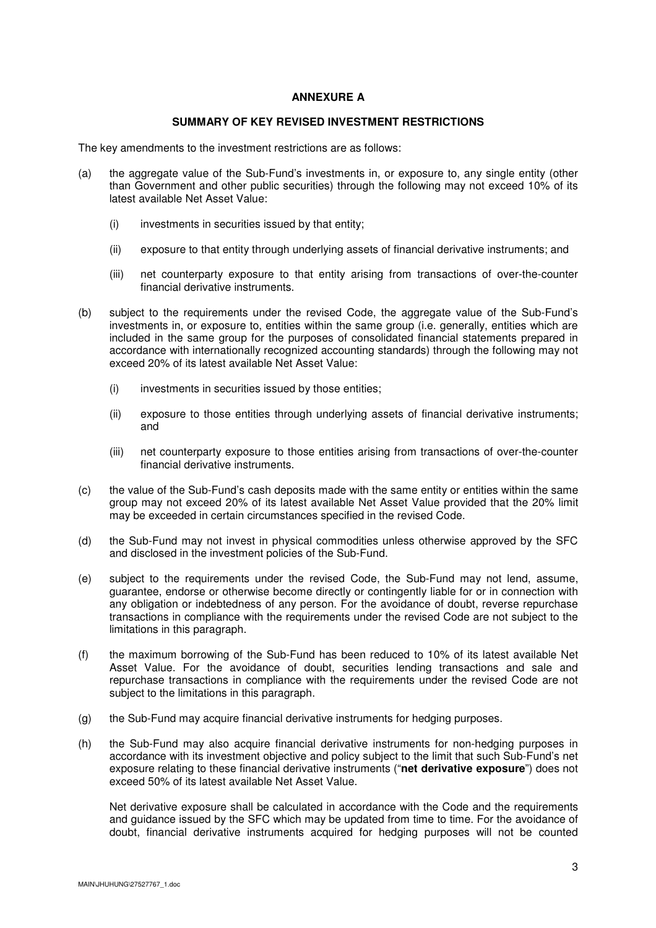### **ANNEXURE A**

### **SUMMARY OF KEY REVISED INVESTMENT RESTRICTIONS**

The key amendments to the investment restrictions are as follows:

- (a) the aggregate value of the Sub-Fund's investments in, or exposure to, any single entity (other than Government and other public securities) through the following may not exceed 10% of its latest available Net Asset Value:
	- (i) investments in securities issued by that entity;
	- (ii) exposure to that entity through underlying assets of financial derivative instruments; and
	- (iii) net counterparty exposure to that entity arising from transactions of over-the-counter financial derivative instruments.
- (b) subject to the requirements under the revised Code, the aggregate value of the Sub-Fund's investments in, or exposure to, entities within the same group (i.e. generally, entities which are included in the same group for the purposes of consolidated financial statements prepared in accordance with internationally recognized accounting standards) through the following may not exceed 20% of its latest available Net Asset Value:
	- (i) investments in securities issued by those entities;
	- (ii) exposure to those entities through underlying assets of financial derivative instruments; and
	- (iii) net counterparty exposure to those entities arising from transactions of over-the-counter financial derivative instruments.
- (c) the value of the Sub-Fund's cash deposits made with the same entity or entities within the same group may not exceed 20% of its latest available Net Asset Value provided that the 20% limit may be exceeded in certain circumstances specified in the revised Code.
- (d) the Sub-Fund may not invest in physical commodities unless otherwise approved by the SFC and disclosed in the investment policies of the Sub-Fund.
- (e) subject to the requirements under the revised Code, the Sub-Fund may not lend, assume, guarantee, endorse or otherwise become directly or contingently liable for or in connection with any obligation or indebtedness of any person. For the avoidance of doubt, reverse repurchase transactions in compliance with the requirements under the revised Code are not subject to the limitations in this paragraph.
- (f) the maximum borrowing of the Sub-Fund has been reduced to 10% of its latest available Net Asset Value. For the avoidance of doubt, securities lending transactions and sale and repurchase transactions in compliance with the requirements under the revised Code are not subject to the limitations in this paragraph.
- (g) the Sub-Fund may acquire financial derivative instruments for hedging purposes.
- (h) the Sub-Fund may also acquire financial derivative instruments for non-hedging purposes in accordance with its investment objective and policy subject to the limit that such Sub-Fund's net exposure relating to these financial derivative instruments ("**net derivative exposure**") does not exceed 50% of its latest available Net Asset Value.

Net derivative exposure shall be calculated in accordance with the Code and the requirements and guidance issued by the SFC which may be updated from time to time. For the avoidance of doubt, financial derivative instruments acquired for hedging purposes will not be counted